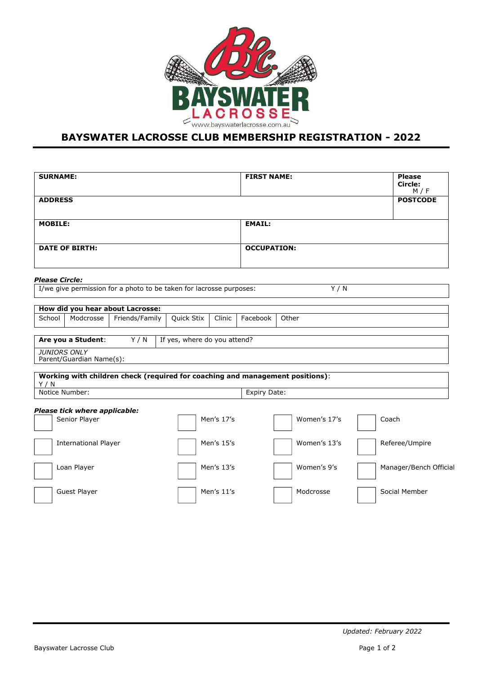

## **BAYSWATER LACROSSE CLUB MEMBERSHIP REGISTRATION - 2022**

| <b>SURNAME:</b>             |                               |                                  |                                                                     |            | <b>FIRST NAME:</b> |                                                                               |  | <b>Please</b><br>Circle:<br>M / F |  |
|-----------------------------|-------------------------------|----------------------------------|---------------------------------------------------------------------|------------|--------------------|-------------------------------------------------------------------------------|--|-----------------------------------|--|
| <b>ADDRESS</b>              |                               |                                  |                                                                     |            |                    |                                                                               |  | <b>POSTCODE</b>                   |  |
| <b>MOBILE:</b>              |                               |                                  |                                                                     |            | <b>EMAIL:</b>      |                                                                               |  |                                   |  |
| <b>DATE OF BIRTH:</b>       |                               |                                  |                                                                     |            | <b>OCCUPATION:</b> |                                                                               |  |                                   |  |
| <b>Please Circle:</b>       |                               |                                  |                                                                     |            |                    |                                                                               |  |                                   |  |
|                             |                               |                                  | I/we give permission for a photo to be taken for lacrosse purposes: |            |                    | Y/N                                                                           |  |                                   |  |
|                             |                               | How did you hear about Lacrosse: |                                                                     |            |                    |                                                                               |  |                                   |  |
| School                      | Modcrosse                     | Friends/Family                   | <b>Quick Stix</b>                                                   | Clinic     | Facebook           | Other                                                                         |  |                                   |  |
|                             | Are you a Student:            | Y/N                              | If yes, where do you attend?                                        |            |                    |                                                                               |  |                                   |  |
| JUNIORS ONLY                | Parent/Guardian Name(s):      |                                  |                                                                     |            |                    |                                                                               |  |                                   |  |
| Y/N                         |                               |                                  |                                                                     |            |                    | Working with children check (required for coaching and management positions): |  |                                   |  |
| Notice Number:              |                               |                                  |                                                                     |            | Expiry Date:       |                                                                               |  |                                   |  |
|                             | Please tick where applicable: |                                  |                                                                     |            |                    |                                                                               |  |                                   |  |
| Senior Player               |                               |                                  |                                                                     | Men's 17's |                    | Women's 17's                                                                  |  | Coach                             |  |
| <b>International Player</b> |                               |                                  |                                                                     | Men's 15's |                    | Women's 13's                                                                  |  | Referee/Umpire                    |  |
| Loan Player                 |                               |                                  |                                                                     | Men's 13's |                    | Women's 9's                                                                   |  | Manager/Bench Official            |  |
| Guest Player                |                               |                                  |                                                                     | Men's 11's |                    | Modcrosse                                                                     |  | Social Member                     |  |